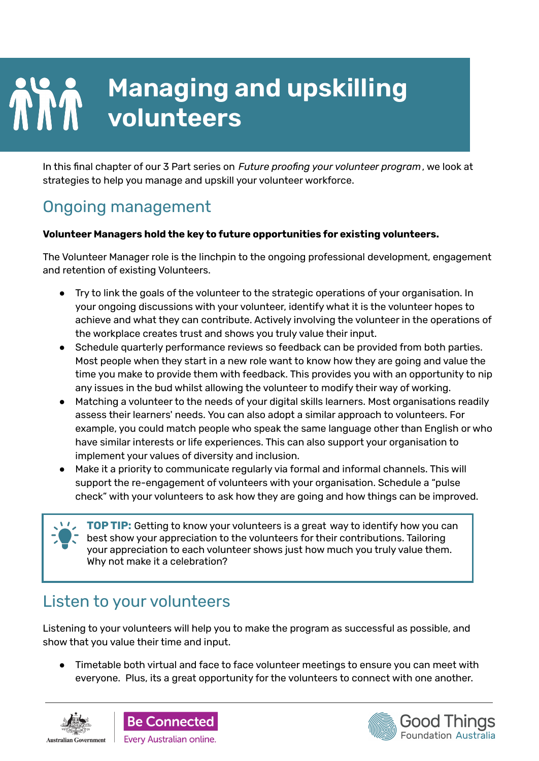# **Managing and upskilling volunteers**

In this final chapter of our 3 Part series on *Future proofing your volunteer program*, we look at strategies to help you manage and upskill your volunteer workforce.

# Ongoing management

#### **Volunteer Managers hold the key to future opportunities for existing volunteers.**

The Volunteer Manager role is the linchpin to the ongoing professional development, engagement and retention of existing Volunteers.

- Try to link the goals of the volunteer to the strategic operations of your organisation. In your ongoing discussions with your volunteer, identify what it is the volunteer hopes to achieve and what they can contribute. Actively involving the volunteer in the operations of the workplace creates trust and shows you truly value their input.
- Schedule quarterly performance reviews so feedback can be provided from both parties. Most people when they start in a new role want to know how they are going and value the time you make to provide them with feedback. This provides you with an opportunity to nip any issues in the bud whilst allowing the volunteer to modify their way of working.
- Matching a volunteer to the needs of your digital skills learners. Most organisations readily assess their learners' needs. You can also adopt a similar approach to volunteers. For example, you could match people who speak the same language other than English or who have similar interests or life experiences. This can also support your organisation to implement your values of diversity and inclusion.
- Make it a priority to communicate regularly via formal and informal channels. This will support the re-engagement of volunteers with your organisation. Schedule a "pulse check" with your volunteers to ask how they are going and how things can be improved.

**TOP TIP:** Getting to know your volunteers is a great way to identify how you can best show your appreciation to the volunteers for their contributions. Tailoring your appreciation to each volunteer shows just how much you truly value them. Why not make it a celebration?

### Listen to your volunteers

Listening to your volunteers will help you to make the program as successful as possible, and show that you value their time and input.

● Timetable both virtual and face to face volunteer meetings to ensure you can meet with everyone. Plus, its a great opportunity for the volunteers to connect with one another.





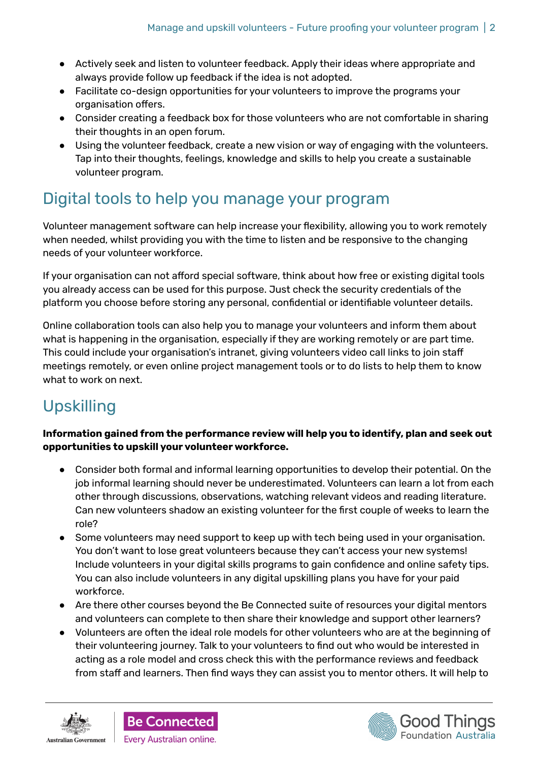- Actively seek and listen to volunteer feedback. Apply their ideas where appropriate and always provide follow up feedback if the idea is not adopted.
- Facilitate co-design opportunities for your volunteers to improve the programs your organisation offers.
- Consider creating a feedback box for those volunteers who are not comfortable in sharing their thoughts in an open forum.
- Using the volunteer feedback, create a new vision or way of engaging with the volunteers. Tap into their thoughts, feelings, knowledge and skills to help you create a sustainable volunteer program.

# Digital tools to help you manage your program

Volunteer management software can help increase your flexibility, allowing you to work remotely when needed, whilst providing you with the time to listen and be responsive to the changing needs of your volunteer workforce.

If your organisation can not afford special software, think about how free or existing digital tools you already access can be used for this purpose. Just check the security credentials of the platform you choose before storing any personal, confidential or identifiable volunteer details.

Online collaboration tools can also help you to manage your volunteers and inform them about what is happening in the organisation, especially if they are working remotely or are part time. This could include your organisation's intranet, giving volunteers video call links to join staff meetings remotely, or even online project management tools or to do lists to help them to know what to work on next.

# Upskilling

**Information gained from the performance review will help you to identify, plan and seek out opportunities to upskill your volunteer workforce.**

- Consider both formal and informal learning opportunities to develop their potential. On the job informal learning should never be underestimated. Volunteers can learn a lot from each other through discussions, observations, watching relevant videos and reading literature. Can new volunteers shadow an existing volunteer for the first couple of weeks to learn the role?
- Some volunteers may need support to keep up with tech being used in your organisation. You don't want to lose great volunteers because they can't access your new systems! Include volunteers in your digital skills programs to gain confidence and online safety tips. You can also include volunteers in any digital upskilling plans you have for your paid workforce.
- Are there other courses beyond the Be Connected suite of resources your digital mentors and volunteers can complete to then share their knowledge and support other learners?
- Volunteers are often the ideal role models for other volunteers who are at the beginning of their volunteering journey. Talk to your volunteers to find out who would be interested in acting as a role model and cross check this with the performance reviews and feedback from staff and learners. Then find ways they can assist you to mentor others. It will help to